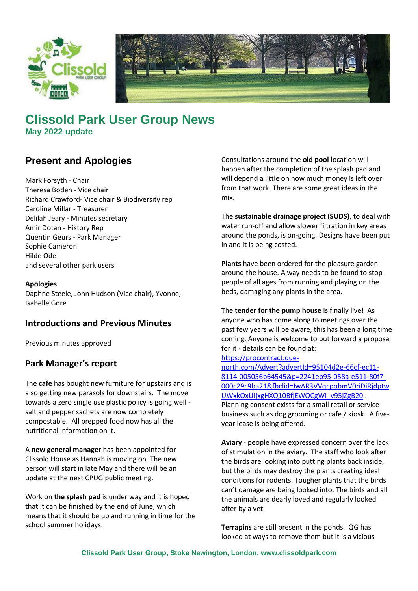



# **Clissold Park User Group News May 2022 update**

## **Present and Apologies**

Mark Forsyth - Chair Theresa Boden - Vice chair Richard Crawford- Vice chair & Biodiversity rep Caroline Millar - Treasurer Delilah Jeary - Minutes secretary Amir Dotan - History Rep Quentin Geurs - Park Manager Sophie Cameron Hilde Ode and several other park users

#### **Apologies**

Daphne Steele, John Hudson (Vice chair), Yvonne, Isabelle Gore

## **Introductions and Previous Minutes**

Previous minutes approved

## **Park Manager's report**

The **cafe** has bought new furniture for upstairs and is also getting new parasols for downstairs. The move towards a zero single use plastic policy is going well salt and pepper sachets are now completely compostable. All prepped food now has all the nutritional information on it.

A **new general manager** has been appointed for Clissold House as Hannah is moving on. The new person will start in late May and there will be an update at the next CPUG public meeting.

Work on **the splash pad** is under way and it is hoped that it can be finished by the end of June, which means that it should be up and running in time for the school summer holidays.

Consultations around the **old pool** location will happen after the completion of the splash pad and will depend a little on how much money is left over from that work. There are some great ideas in the mix.

The **sustainable drainage project (SUDS)**, to deal with water run-off and allow slower filtration in key areas around the ponds, is on-going. Designs have been put in and it is being costed.

**Plants** have been ordered for the pleasure garden around the house. A way needs to be found to stop people of all ages from running and playing on the beds, damaging any plants in the area.

The **tender for the pump house** is finally live! As anyone who has come along to meetings over the past few years will be aware, this has been a long time coming. Anyone is welcome to put forward a proposal for it - details can be found at:

[https://procontract.due-](https://procontract.due-north.com/Advert?advertId=95104d2e-66cf-ec11-8114-005056b64545&p=2241eb95-058a-e511-80f7-000c29c9ba21&fbclid=IwAR3VVqcpobmV0riDiRjdptwUWxkOxUIjxgHXQ10BfjEWOCgWI_v95jZgB20)

[north.com/Advert?advertId=95104d2e-66cf-ec11-](https://procontract.due-north.com/Advert?advertId=95104d2e-66cf-ec11-8114-005056b64545&p=2241eb95-058a-e511-80f7-000c29c9ba21&fbclid=IwAR3VVqcpobmV0riDiRjdptwUWxkOxUIjxgHXQ10BfjEWOCgWI_v95jZgB20) [8114-005056b64545&p=2241eb95-058a-e511-80f7-](https://procontract.due-north.com/Advert?advertId=95104d2e-66cf-ec11-8114-005056b64545&p=2241eb95-058a-e511-80f7-000c29c9ba21&fbclid=IwAR3VVqcpobmV0riDiRjdptwUWxkOxUIjxgHXQ10BfjEWOCgWI_v95jZgB20) [000c29c9ba21&fbclid=IwAR3VVqcpobmV0riDiRjdptw](https://procontract.due-north.com/Advert?advertId=95104d2e-66cf-ec11-8114-005056b64545&p=2241eb95-058a-e511-80f7-000c29c9ba21&fbclid=IwAR3VVqcpobmV0riDiRjdptwUWxkOxUIjxgHXQ10BfjEWOCgWI_v95jZgB20) [UWxkOxUIjxgHXQ10BfjEWOCgWI\\_v95jZgB20](https://procontract.due-north.com/Advert?advertId=95104d2e-66cf-ec11-8114-005056b64545&p=2241eb95-058a-e511-80f7-000c29c9ba21&fbclid=IwAR3VVqcpobmV0riDiRjdptwUWxkOxUIjxgHXQ10BfjEWOCgWI_v95jZgB20) . Planning consent exists for a small retail or service business such as dog grooming or cafe / kiosk. A fiveyear lease is being offered.

**Aviary** - people have expressed concern over the lack of stimulation in the aviary. The staff who look after the birds are looking into putting plants back inside, but the birds may destroy the plants creating ideal conditions for rodents. Tougher plants that the birds can't damage are being looked into. The birds and all the animals are dearly loved and regularly looked after by a vet.

**Terrapins** are still present in the ponds. QG has looked at ways to remove them but it is a vicious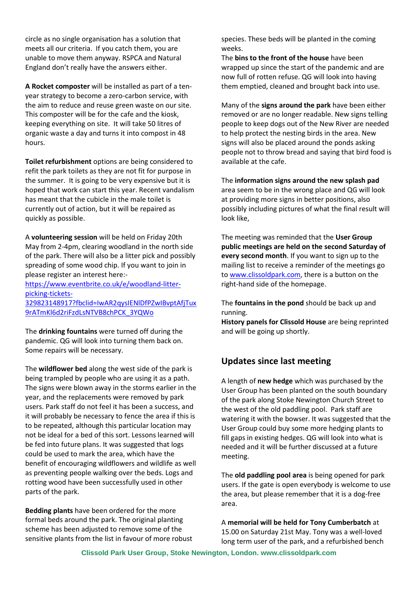circle as no single organisation has a solution that meets all our criteria. If you catch them, you are unable to move them anyway. RSPCA and Natural England don't really have the answers either.

**A Rocket composter** will be installed as part of a tenyear strategy to become a zero-carbon service, with the aim to reduce and reuse green waste on our site. This composter will be for the cafe and the kiosk, keeping everything on site. It will take 50 litres of organic waste a day and turns it into compost in 48 hours.

**Toilet refurbishment** options are being considered to refit the park toilets as they are not fit for purpose in the summer. It is going to be very expensive but it is hoped that work can start this year. Recent vandalism has meant that the cubicle in the male toilet is currently out of action, but it will be repaired as quickly as possible.

A **volunteering session** will be held on Friday 20th May from 2-4pm, clearing woodland in the north side of the park. There will also be a litter pick and possibly spreading of some wood chip. If you want to join in please register an interest here:-

[https://www.eventbrite.co.uk/e/woodland-litter](https://www.eventbrite.co.uk/e/woodland-litter-picking-tickets-329823148917?fbclid=IwAR2qysIENlDfPZwIBvptAfjTux9rATmKl6d2riFzdLsNTVB8chPCK_3YQWo)[picking-tickets-](https://www.eventbrite.co.uk/e/woodland-litter-picking-tickets-329823148917?fbclid=IwAR2qysIENlDfPZwIBvptAfjTux9rATmKl6d2riFzdLsNTVB8chPCK_3YQWo)

[329823148917?fbclid=IwAR2qysIENlDfPZwIBvptAfjTux](https://www.eventbrite.co.uk/e/woodland-litter-picking-tickets-329823148917?fbclid=IwAR2qysIENlDfPZwIBvptAfjTux9rATmKl6d2riFzdLsNTVB8chPCK_3YQWo) [9rATmKl6d2riFzdLsNTVB8chPCK\\_3YQWo](https://www.eventbrite.co.uk/e/woodland-litter-picking-tickets-329823148917?fbclid=IwAR2qysIENlDfPZwIBvptAfjTux9rATmKl6d2riFzdLsNTVB8chPCK_3YQWo)

The **drinking fountains** were turned off during the pandemic. QG will look into turning them back on. Some repairs will be necessary.

The **wildflower bed** along the west side of the park is being trampled by people who are using it as a path. The signs were blown away in the storms earlier in the year, and the replacements were removed by park users. Park staff do not feel it has been a success, and it will probably be necessary to fence the area if this is to be repeated, although this particular location may not be ideal for a bed of this sort. Lessons learned will be fed into future plans. It was suggested that logs could be used to mark the area, which have the benefit of encouraging wildflowers and wildlife as well as preventing people walking over the beds. Logs and rotting wood have been successfully used in other parts of the park.

**Bedding plants** have been ordered for the more formal beds around the park. The original planting scheme has been adjusted to remove some of the sensitive plants from the list in favour of more robust species. These beds will be planted in the coming weeks.

The **bins to the front of the house** have been wrapped up since the start of the pandemic and are now full of rotten refuse. QG will look into having them emptied, cleaned and brought back into use.

Many of the **signs around the park** have been either removed or are no longer readable. New signs telling people to keep dogs out of the New River are needed to help protect the nesting birds in the area. New signs will also be placed around the ponds asking people not to throw bread and saying that bird food is available at the cafe.

The **information signs around the new splash pad** area seem to be in the wrong place and QG will look at providing more signs in better positions, also possibly including pictures of what the final result will look like,

The meeting was reminded that the **User Group public meetings are held on the second Saturday of every second month**. If you want to sign up to the mailing list to receive a reminder of the meetings go to [www.clissoldpark.com,](http://www.clissoldpark.com/) there is a button on the right-hand side of the homepage.

The **fountains in the pond** should be back up and running.

**History panels for Clissold House** are being reprinted and will be going up shortly.

## **Updates since last meeting**

A length of **new hedge** which was purchased by the User Group has been planted on the south boundary of the park along Stoke Newington Church Street to the west of the old paddling pool. Park staff are watering it with the bowser. It was suggested that the User Group could buy some more hedging plants to fill gaps in existing hedges. QG will look into what is needed and it will be further discussed at a future meeting.

The **old paddling pool area** is being opened for park users. If the gate is open everybody is welcome to use the area, but please remember that it is a dog-free area.

A **memorial will be held for Tony Cumberbatch** at 15.00 on Saturday 21st May. Tony was a well-loved long term user of the park, and a refurbished bench

**Clissold Park User Group, Stoke Newington, London. www.clissoldpark.com**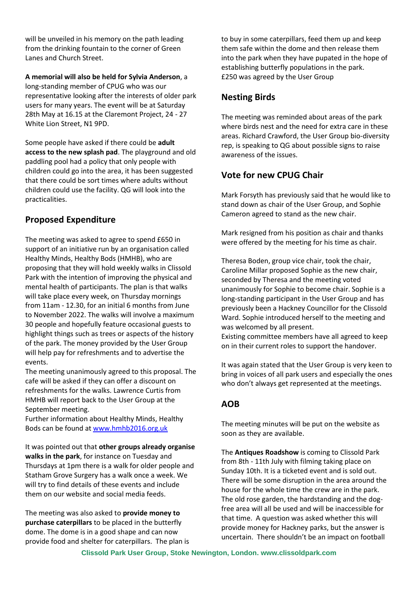will be unveiled in his memory on the path leading from the drinking fountain to the corner of Green Lanes and Church Street.

**A memorial will also be held for Sylvia Anderson**, a long-standing member of CPUG who was our representative looking after the interests of older park users for many years. The event will be at Saturday 28th May at 16.15 at the Claremont Project, 24 - 27 White Lion Street, N1 9PD.

Some people have asked if there could be **adult access to the new splash pad**. The playground and old paddling pool had a policy that only people with children could go into the area, it has been suggested that there could be sort times where adults without children could use the facility. QG will look into the practicalities.

## **Proposed Expenditure**

The meeting was asked to agree to spend £650 in support of an initiative run by an organisation called Healthy Minds, Healthy Bods (HMHB), who are proposing that they will hold weekly walks in Clissold Park with the intention of improving the physical and mental health of participants. The plan is that walks will take place every week, on Thursday mornings from 11am - 12.30, for an initial 6 months from June to November 2022. The walks will involve a maximum 30 people and hopefully feature occasional guests to highlight things such as trees or aspects of the history of the park. The money provided by the User Group will help pay for refreshments and to advertise the events.

The meeting unanimously agreed to this proposal. The cafe will be asked if they can offer a discount on refreshments for the walks. Lawrence Curtis from HMHB will report back to the User Group at the September meeting.

Further information about Healthy Minds, Healthy Bods can be found a[t www.hmhb2016.org.uk](http://www.hmhb2016.org.uk/)

It was pointed out that **other groups already organise walks in the park**, for instance on Tuesday and Thursdays at 1pm there is a walk for older people and Statham Grove Surgery has a walk once a week. We will try to find details of these events and include them on our website and social media feeds.

The meeting was also asked to **provide money to purchase caterpillars** to be placed in the butterfly dome. The dome is in a good shape and can now provide food and shelter for caterpillars. The plan is to buy in some caterpillars, feed them up and keep them safe within the dome and then release them into the park when they have pupated in the hope of establishing butterfly populations in the park. £250 was agreed by the User Group

## **Nesting Birds**

The meeting was reminded about areas of the park where birds nest and the need for extra care in these areas. Richard Crawford, the User Group bio-diversity rep, is speaking to QG about possible signs to raise awareness of the issues.

## **Vote for new CPUG Chair**

Mark Forsyth has previously said that he would like to stand down as chair of the User Group, and Sophie Cameron agreed to stand as the new chair.

Mark resigned from his position as chair and thanks were offered by the meeting for his time as chair.

Theresa Boden, group vice chair, took the chair, Caroline Millar proposed Sophie as the new chair, seconded by Theresa and the meeting voted unanimously for Sophie to become chair. Sophie is a long-standing participant in the User Group and has previously been a Hackney Councillor for the Clissold Ward. Sophie introduced herself to the meeting and was welcomed by all present.

Existing committee members have all agreed to keep on in their current roles to support the handover.

It was again stated that the User Group is very keen to bring in voices of all park users and especially the ones who don't always get represented at the meetings.

## **AOB**

The meeting minutes will be put on the website as soon as they are available.

The **Antiques Roadshow** is coming to Clissold Park from 8th - 11th July with filming taking place on Sunday 10th. It is a ticketed event and is sold out. There will be some disruption in the area around the house for the whole time the crew are in the park. The old rose garden, the hardstanding and the dogfree area will all be used and will be inaccessible for that time. A question was asked whether this will provide money for Hackney parks, but the answer is uncertain. There shouldn't be an impact on football

**Clissold Park User Group, Stoke Newington, London. www.clissoldpark.com**